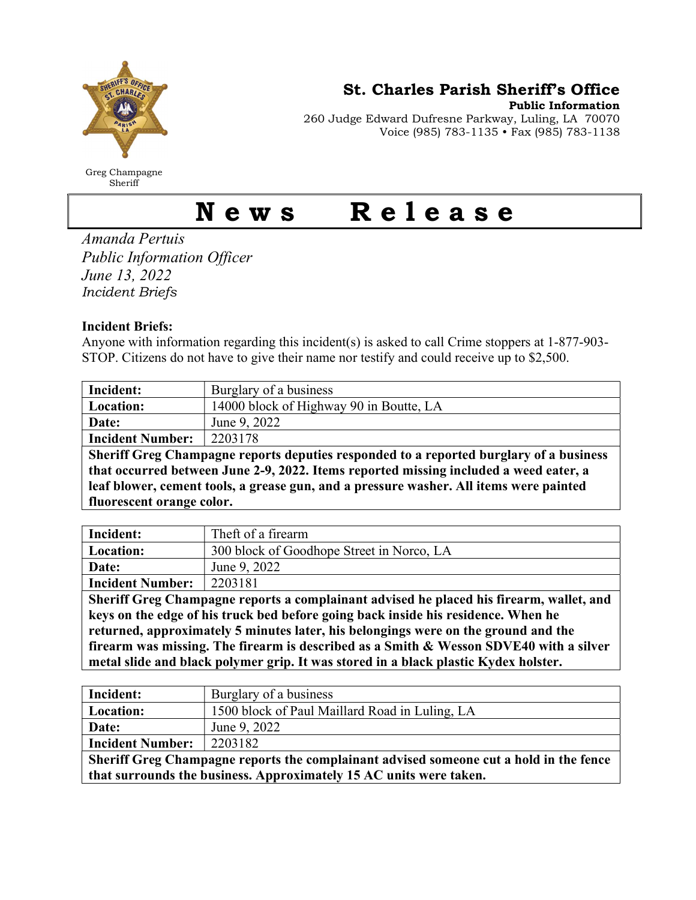

Greg Champagne Sheriff

St. Charles Parish Sheriff's Office

Public Information

260 Judge Edward Dufresne Parkway, Luling, LA 70070 Voice (985) 783-1135 • Fax (985) 783-1138

## News Release

Amanda Pertuis Public Information Officer June 13, 2022 Incident Briefs

## Incident Briefs:

Anyone with information regarding this incident(s) is asked to call Crime stoppers at 1-877-903- STOP. Citizens do not have to give their name nor testify and could receive up to \$2,500.

| Incident:                                                                              | Burglary of a business                  |
|----------------------------------------------------------------------------------------|-----------------------------------------|
| Location:                                                                              | 14000 block of Highway 90 in Boutte, LA |
| Date:                                                                                  | June 9, 2022                            |
| <b>Incident Number:</b>                                                                | 2203178                                 |
| Sheriff Greg Champagne reports deputies responded to a reported burglary of a business |                                         |
| that occurred between June 2-9, 2022. Items reported missing included a weed eater, a  |                                         |
| leaf blower, cement tools, a grease gun, and a pressure washer. All items were painted |                                         |
| fluorescent orange color.                                                              |                                         |

| Incident:                                                                               | Theft of a firearm                        |
|-----------------------------------------------------------------------------------------|-------------------------------------------|
| Location:                                                                               | 300 block of Goodhope Street in Norco, LA |
| Date:                                                                                   | June 9, 2022                              |
| <b>Incident Number:</b>                                                                 | 2203181                                   |
| Sheriff Greg Champagne reports a complainant advised he placed his firearm, wallet, and |                                           |
| keys on the edge of his truck bed before going back inside his residence. When he       |                                           |
| returned, approximately 5 minutes later, his belongings were on the ground and the      |                                           |
| firearm was missing. The firearm is described as a Smith & Wesson SDVE40 with a silver  |                                           |
| metal slide and black polymer grip. It was stored in a black plastic Kydex holster.     |                                           |

| Incident:                                                                              | Burglary of a business                         |
|----------------------------------------------------------------------------------------|------------------------------------------------|
| Location:                                                                              | 1500 block of Paul Maillard Road in Luling, LA |
| Date:                                                                                  | June 9, 2022                                   |
| Incident Number:                                                                       | 2203182                                        |
| Sheriff Greg Champagne reports the complainant advised someone cut a hold in the fence |                                                |
| that surrounds the business. Approximately 15 AC units were taken.                     |                                                |
|                                                                                        |                                                |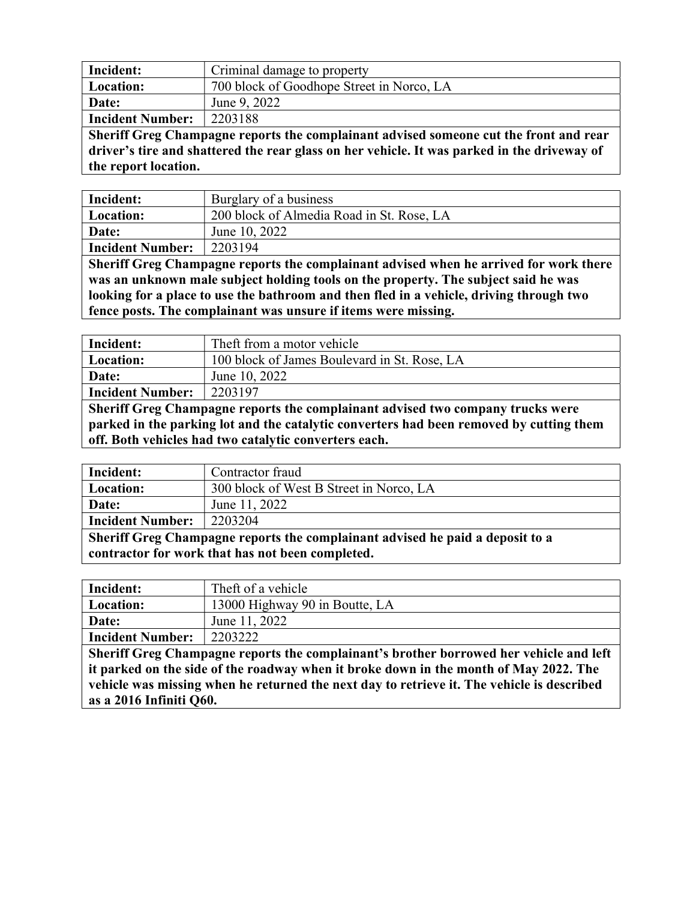| Incident:                                                                             | Criminal damage to property               |
|---------------------------------------------------------------------------------------|-------------------------------------------|
| Location:                                                                             | 700 block of Goodhope Street in Norco, LA |
| Date:                                                                                 | June 9, 2022                              |
| <b>Incident Number:</b>                                                               | 2203188                                   |
| Sheriff Greg Champagne reports the complainant advised someone cut the front and rear |                                           |

driver's tire and shattered the rear glass on her vehicle. It was parked in the driveway of the report location.

| Incident:                                                                               | Burglary of a business                    |
|-----------------------------------------------------------------------------------------|-------------------------------------------|
| Location:                                                                               | 200 block of Almedia Road in St. Rose, LA |
| Date:                                                                                   | June 10, 2022                             |
| <b>Incident Number:</b>                                                                 | 2203194                                   |
| Sheriff Greg Champagne reports the complainant advised when he arrived for work there   |                                           |
| was an unknown male subject holding tools on the property. The subject said he was      |                                           |
| looking for a place to use the bathroom and then fled in a vehicle, driving through two |                                           |
| fence posts. The complainant was unsure if items were missing.                          |                                           |

| Incident:                                                                               | Theft from a motor vehicle                   |
|-----------------------------------------------------------------------------------------|----------------------------------------------|
| Location:                                                                               | 100 block of James Boulevard in St. Rose, LA |
| Date:                                                                                   | June 10, 2022                                |
| <b>Incident Number:</b>                                                                 | 2203197                                      |
| Sheriff Greg Champagne reports the complainant advised two company trucks were          |                                              |
| parked in the parking lot and the catalytic converters had been removed by cutting them |                                              |
| off. Both vehicles had two catalytic converters each.                                   |                                              |

| Incident:                                                                     | Contractor fraud                        |
|-------------------------------------------------------------------------------|-----------------------------------------|
| Location:                                                                     | 300 block of West B Street in Norco, LA |
| Date:                                                                         | June 11, 2022                           |
| <b>Incident Number:</b>                                                       | 2203204                                 |
| Sheriff Greg Champagne reports the complainant advised he paid a deposit to a |                                         |
| contractor for work that has not been completed.                              |                                         |

| Incident:                                                                                  | Theft of a vehicle             |
|--------------------------------------------------------------------------------------------|--------------------------------|
| <b>Location:</b>                                                                           | 13000 Highway 90 in Boutte, LA |
| Date:                                                                                      | June 11, 2022                  |
| <b>Incident Number:</b>                                                                    | 2203222                        |
| Sheriff Greg Champagne reports the complainant's brother borrowed her vehicle and left     |                                |
| it parked on the side of the roadway when it broke down in the month of May 2022. The      |                                |
| vehicle was missing when he returned the next day to retrieve it. The vehicle is described |                                |
| as a 2016 Infiniti Q60.                                                                    |                                |